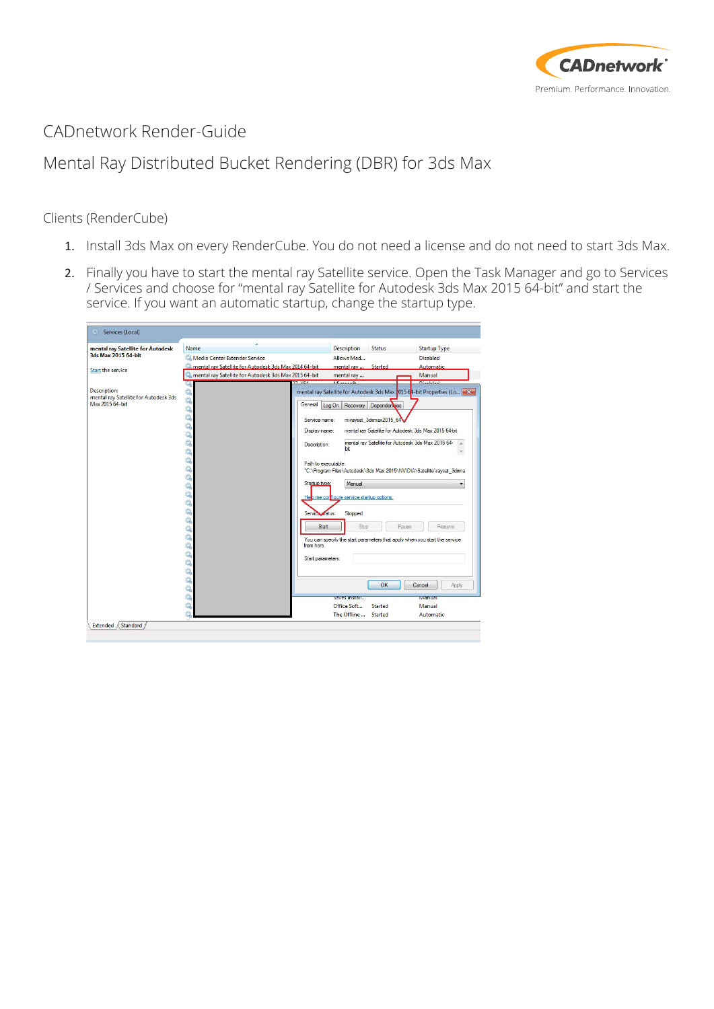

## CADnetwork Render-Guide

## Mental Ray Distributed Bucket Rendering (DBR) for 3ds Max

## Clients (RenderCube)

- 1. Install 3ds Max on every RenderCube. You do not need a license and do not need to start 3ds Max.
- 2. Finally you have to start the mental ray Satellite service. Open the Task Manager and go to Services / Services and choose for "mental ray Satellite for Autodesk 3ds Max 2015 64-bit" and start the service. If you want an automatic startup, change the startup type.

| mental ray Satellite for Autodesk<br>3ds Max 2015 64-bit<br><b>Start the service</b> | Name                                                  | <b>Description</b><br><b>Status</b>            | <b>Startup Type</b>                                                        |
|--------------------------------------------------------------------------------------|-------------------------------------------------------|------------------------------------------------|----------------------------------------------------------------------------|
|                                                                                      | Media Center Extender Service                         | Allows Med                                     | <b>Disabled</b>                                                            |
|                                                                                      | mental ray Satellite for Autodesk 3ds Max 2014 64-bit | mental ray  Started                            | Automatic                                                                  |
|                                                                                      | mental ray Satellite for Autodesk 3ds Max 2015 64-bit | mental ray                                     | Manual                                                                     |
|                                                                                      | <b>TAGE</b>                                           | <b>MORTHLIA</b>                                | <b>Distance</b>                                                            |
| <b>Description:</b>                                                                  |                                                       |                                                | mental ray Satellite for Autodesk 3ds Max 2015 64-bit Properties (Lo > X   |
| mental ray Satellite for Autodesk 3ds<br>Max 2015 64-bit                             | $\mathbb{Q}$                                          |                                                |                                                                            |
|                                                                                      | General<br>Ö,                                         | Log On Recovery Dependencies                   |                                                                            |
|                                                                                      | Ö,<br>Service name:                                   | mi-raysat 3dsmax2015 64                        |                                                                            |
|                                                                                      | Ò,<br>Display name:                                   |                                                | mental ray Satellite for Autodesk 3ds Max 2015 64-bit                      |
|                                                                                      | Ö,                                                    |                                                |                                                                            |
|                                                                                      | Ö,<br>Description:                                    |                                                | mental ray Satellite for Autodesk 3ds Max 2015 64-                         |
|                                                                                      | Ö,                                                    | hit                                            |                                                                            |
|                                                                                      | Ö,<br>Path to executable:                             |                                                |                                                                            |
|                                                                                      | Ö,                                                    |                                                | "C:\Program Files\Autodesk\3ds Max 2015\NVIDIA\Satellite\raysat_3dsma      |
|                                                                                      | Ö,                                                    | Manual                                         |                                                                            |
|                                                                                      | Startup type:<br>$\mathbb{Q}_0$                       |                                                |                                                                            |
|                                                                                      | Ö,                                                    | He p me cor figure service startup options.    |                                                                            |
|                                                                                      | Ö,                                                    |                                                |                                                                            |
|                                                                                      | Ö,<br>Service Adus:                                   | Stopped                                        |                                                                            |
|                                                                                      | Ö,<br><b>Start</b>                                    | Stop                                           | Pause<br>Resume                                                            |
|                                                                                      | Ö,                                                    |                                                |                                                                            |
|                                                                                      | $\mathbb{Q}_2$                                        |                                                | You can specify the start parameters that apply when you start the service |
|                                                                                      | Ö,<br>from here.                                      |                                                |                                                                            |
|                                                                                      | $\mathbb{Q}_\mathfrak{h}$<br>Start parameters:        |                                                |                                                                            |
|                                                                                      | Ö,                                                    |                                                |                                                                            |
|                                                                                      | $\mathbb{Q}_\alpha$                                   |                                                |                                                                            |
|                                                                                      | Ò,                                                    |                                                | OK<br>Cancel<br>Apply                                                      |
|                                                                                      | $\dot{\mathcal{Q}}$<br>$\hat{\mathcal{Q}}_n$          |                                                |                                                                            |
|                                                                                      |                                                       | Saves install                                  | <b>Manuar</b>                                                              |
|                                                                                      |                                                       |                                                |                                                                            |
|                                                                                      |                                                       | Office Soft<br>Started<br>The Offline  Started | Manual<br>Automatic                                                        |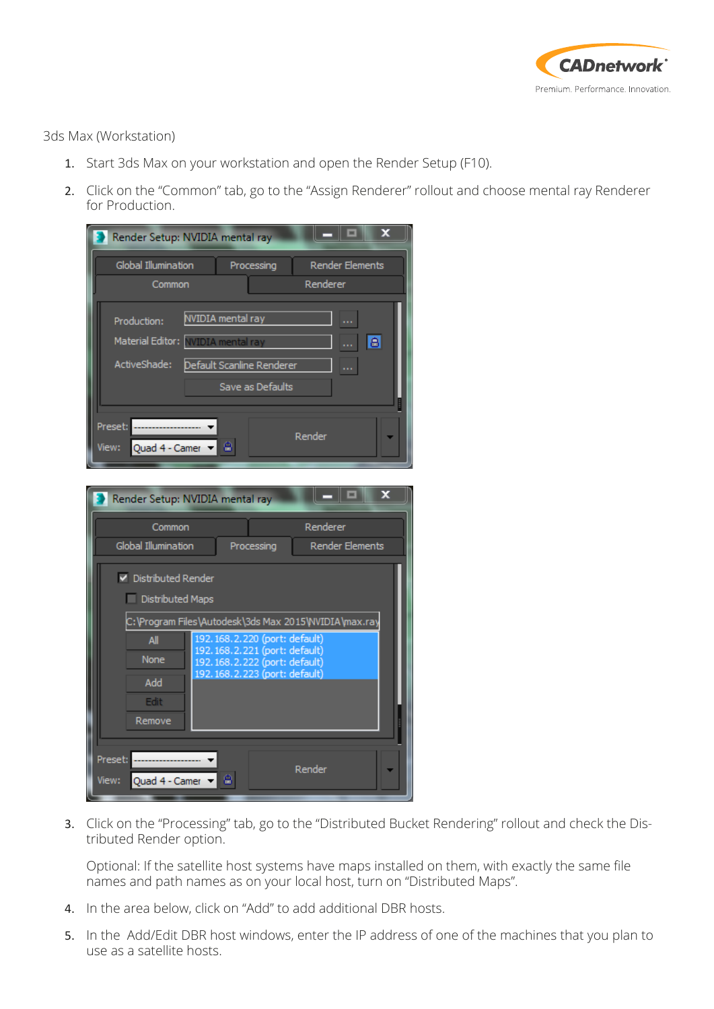

3ds Max (Workstation)

- 1. Start 3ds Max on your workstation and open the Render Setup (F10).
- 2. Click on the "Common" tab, go to the "Assign Renderer" rollout and choose mental ray Renderer for Production.



3. Click on the "Processing" tab, go to the "Distributed Bucket Rendering" rollout and check the Distributed Render option.

Optional: If the satellite host systems have maps installed on them, with exactly the same file names and path names as on your local host, turn on "Distributed Maps".

- 4. In the area below, click on "Add" to add additional DBR hosts.
- 5. In the Add/Edit DBR host windows, enter the IP address of one of the machines that you plan to use as a satellite hosts.